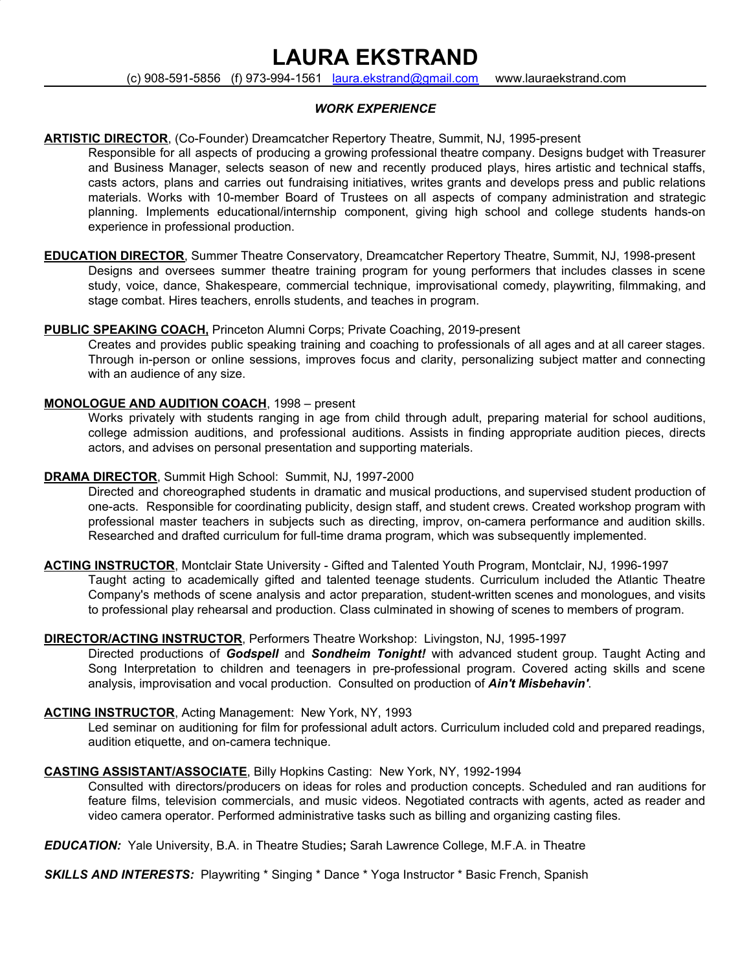# **LAURA EKSTRAND**

(c) 908-591-5856 (f) 973-994-1561 [laura.ekstrand@gmail.com](mailto:laura.ekstrand@gmail.com) www.lauraekstrand.com

# *WORK EXPERIENCE*

# **ARTISTIC DIRECTOR**, (Co-Founder) Dreamcatcher Repertory Theatre, Summit, NJ, 1995-present

Responsible for all aspects of producing a growing professional theatre company. Designs budget with Treasurer and Business Manager, selects season of new and recently produced plays, hires artistic and technical staffs, casts actors, plans and carries out fundraising initiatives, writes grants and develops press and public relations materials. Works with 10-member Board of Trustees on all aspects of company administration and strategic planning. Implements educational/internship component, giving high school and college students hands-on experience in professional production.

**EDUCATION DIRECTOR**, Summer Theatre Conservatory, Dreamcatcher Repertory Theatre, Summit, NJ, 1998-present Designs and oversees summer theatre training program for young performers that includes classes in scene study, voice, dance, Shakespeare, commercial technique, improvisational comedy, playwriting, filmmaking, and stage combat. Hires teachers, enrolls students, and teaches in program.

# **PUBLIC SPEAKING COACH,** Princeton Alumni Corps; Private Coaching, 2019-present

Creates and provides public speaking training and coaching to professionals of all ages and at all career stages. Through in-person or online sessions, improves focus and clarity, personalizing subject matter and connecting with an audience of any size.

# **MONOLOGUE AND AUDITION COACH**, 1998 – present

Works privately with students ranging in age from child through adult, preparing material for school auditions, college admission auditions, and professional auditions. Assists in finding appropriate audition pieces, directs actors, and advises on personal presentation and supporting materials.

# **DRAMA DIRECTOR**, Summit High School: Summit, NJ, 1997-2000

Directed and choreographed students in dramatic and musical productions, and supervised student production of one-acts. Responsible for coordinating publicity, design staff, and student crews. Created workshop program with professional master teachers in subjects such as directing, improv, on-camera performance and audition skills. Researched and drafted curriculum for full-time drama program, which was subsequently implemented.

**ACTING INSTRUCTOR**, Montclair State University - Gifted and Talented Youth Program, Montclair, NJ, 1996-1997 Taught acting to academically gifted and talented teenage students. Curriculum included the Atlantic Theatre Company's methods of scene analysis and actor preparation, student-written scenes and monologues, and visits to professional play rehearsal and production. Class culminated in showing of scenes to members of program.

#### **DIRECTOR/ACTING INSTRUCTOR**, Performers Theatre Workshop: Livingston, NJ, 1995-1997

Directed productions of *Godspell* and *Sondheim Tonight!* with advanced student group. Taught Acting and Song Interpretation to children and teenagers in pre-professional program. Covered acting skills and scene analysis, improvisation and vocal production. Consulted on production of *Ain't Misbehavin'*.

#### **ACTING INSTRUCTOR**, Acting Management: New York, NY, 1993

Led seminar on auditioning for film for professional adult actors. Curriculum included cold and prepared readings, audition etiquette, and on-camera technique.

# **CASTING ASSISTANT/ASSOCIATE**, Billy Hopkins Casting: New York, NY, 1992-1994

Consulted with directors/producers on ideas for roles and production concepts. Scheduled and ran auditions for feature films, television commercials, and music videos. Negotiated contracts with agents, acted as reader and video camera operator. Performed administrative tasks such as billing and organizing casting files.

*EDUCATION:* Yale University, B.A. in Theatre Studies**;** Sarah Lawrence College, M.F.A. in Theatre

*SKILLS AND INTERESTS:* Playwriting \* Singing \* Dance \* Yoga Instructor \* Basic French, Spanish